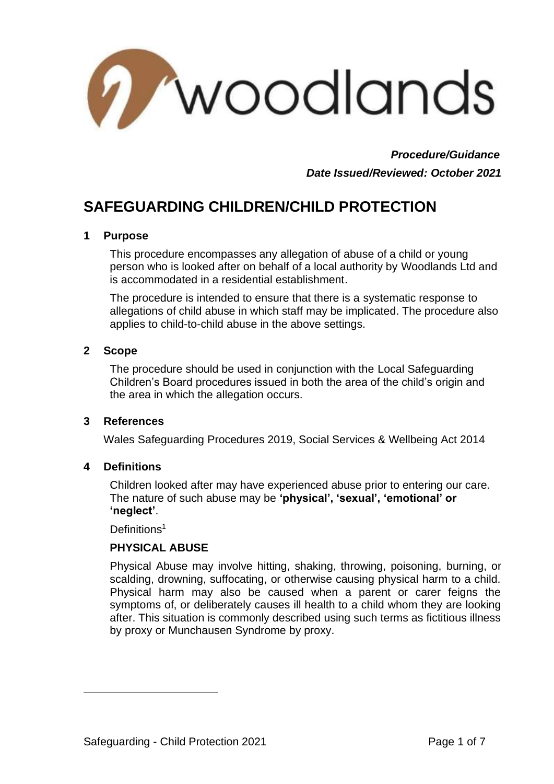

 *Procedure/Guidance Date Issued/Reviewed: October 2021*

# **SAFEGUARDING CHILDREN/CHILD PROTECTION**

#### **1 Purpose**

This procedure encompasses any allegation of abuse of a child or young person who is looked after on behalf of a local authority by Woodlands Ltd and is accommodated in a residential establishment.

The procedure is intended to ensure that there is a systematic response to allegations of child abuse in which staff may be implicated. The procedure also applies to child-to-child abuse in the above settings.

#### **2 Scope**

The procedure should be used in conjunction with the Local Safeguarding Children's Board procedures issued in both the area of the child's origin and the area in which the allegation occurs.

#### **3 References**

Wales Safeguarding Procedures 2019, Social Services & Wellbeing Act 2014

#### **4 Definitions**

Children looked after may have experienced abuse prior to entering our care. The nature of such abuse may be **'physical', 'sexual', 'emotional' or 'neglect'**.

Definitions<sup>1</sup>

### **PHYSICAL ABUSE**

Physical Abuse may involve hitting, shaking, throwing, poisoning, burning, or scalding, drowning, suffocating, or otherwise causing physical harm to a child. Physical harm may also be caused when a parent or carer feigns the symptoms of, or deliberately causes ill health to a child whom they are looking after. This situation is commonly described using such terms as fictitious illness by proxy or Munchausen Syndrome by proxy.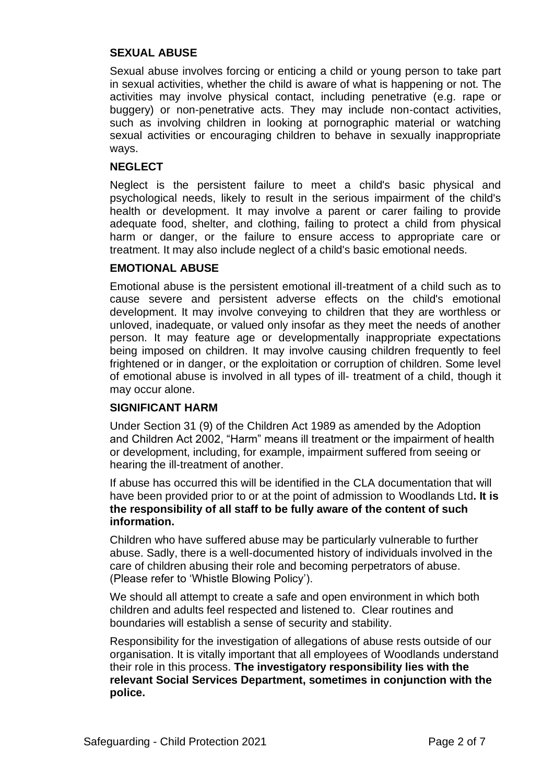#### **SEXUAL ABUSE**

Sexual abuse involves forcing or enticing a child or young person to take part in sexual activities, whether the child is aware of what is happening or not. The activities may involve physical contact, including penetrative (e.g. rape or buggery) or non-penetrative acts. They may include non-contact activities, such as involving children in looking at pornographic material or watching sexual activities or encouraging children to behave in sexually inappropriate ways.

#### **NEGLECT**

Neglect is the persistent failure to meet a child's basic physical and psychological needs, likely to result in the serious impairment of the child's health or development. It may involve a parent or carer failing to provide adequate food, shelter, and clothing, failing to protect a child from physical harm or danger, or the failure to ensure access to appropriate care or treatment. It may also include neglect of a child's basic emotional needs.

#### **EMOTIONAL ABUSE**

Emotional abuse is the persistent emotional ill-treatment of a child such as to cause severe and persistent adverse effects on the child's emotional development. It may involve conveying to children that they are worthless or unloved, inadequate, or valued only insofar as they meet the needs of another person. It may feature age or developmentally inappropriate expectations being imposed on children. It may involve causing children frequently to feel frightened or in danger, or the exploitation or corruption of children. Some level of emotional abuse is involved in all types of ill- treatment of a child, though it may occur alone.

#### **SIGNIFICANT HARM**

Under Section 31 (9) of the Children Act 1989 as amended by the Adoption and Children Act 2002, "Harm" means ill treatment or the impairment of health or development, including, for example, impairment suffered from seeing or hearing the ill-treatment of another.

If abuse has occurred this will be identified in the CLA documentation that will have been provided prior to or at the point of admission to Woodlands Ltd**. It is the responsibility of all staff to be fully aware of the content of such information.**

Children who have suffered abuse may be particularly vulnerable to further abuse. Sadly, there is a well-documented history of individuals involved in the care of children abusing their role and becoming perpetrators of abuse. (Please refer to 'Whistle Blowing Policy').

We should all attempt to create a safe and open environment in which both children and adults feel respected and listened to. Clear routines and boundaries will establish a sense of security and stability.

Responsibility for the investigation of allegations of abuse rests outside of our organisation. It is vitally important that all employees of Woodlands understand their role in this process. **The investigatory responsibility lies with the relevant Social Services Department, sometimes in conjunction with the police.**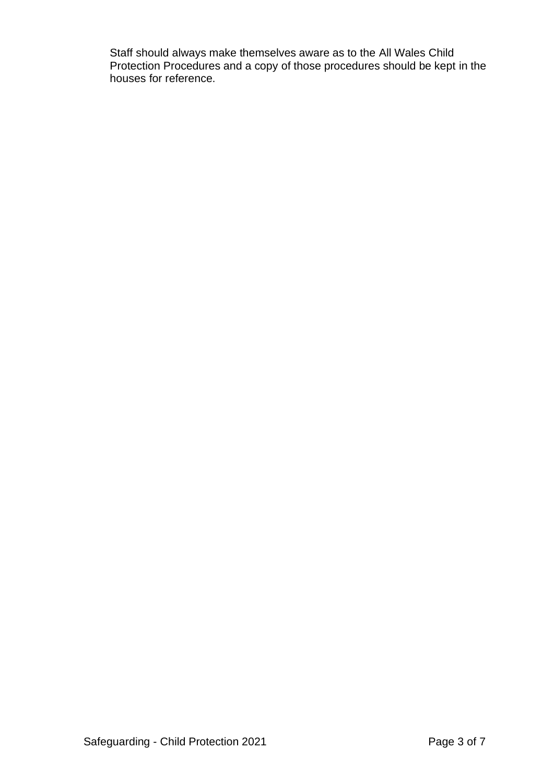Staff should always make themselves aware as to the All Wales Child Protection Procedures and a copy of those procedures should be kept in the houses for reference.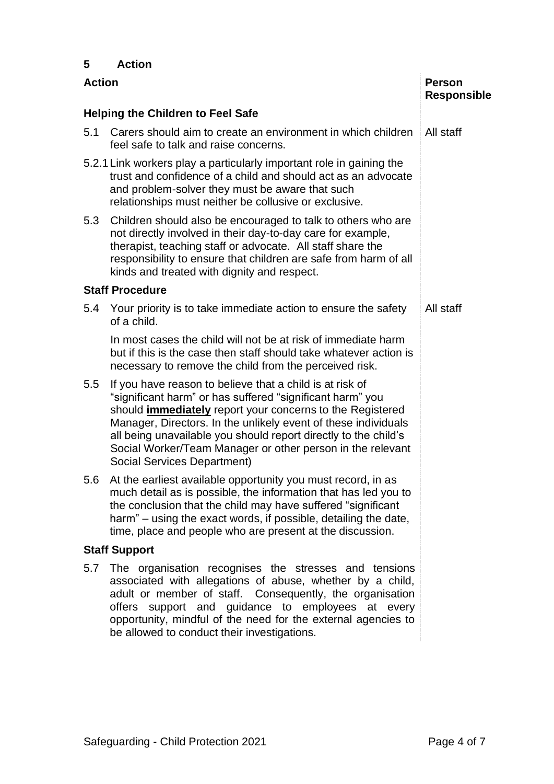## **5 Action**

| <b>Action</b>                            |                                                                                                                                                                                                                                                                                                                                                                                                                                    | <b>Person</b><br><b>Responsible</b> |  |
|------------------------------------------|------------------------------------------------------------------------------------------------------------------------------------------------------------------------------------------------------------------------------------------------------------------------------------------------------------------------------------------------------------------------------------------------------------------------------------|-------------------------------------|--|
| <b>Helping the Children to Feel Safe</b> |                                                                                                                                                                                                                                                                                                                                                                                                                                    |                                     |  |
| 5.1                                      | Carers should aim to create an environment in which children   All staff<br>feel safe to talk and raise concerns.                                                                                                                                                                                                                                                                                                                  |                                     |  |
|                                          | 5.2.1 Link workers play a particularly important role in gaining the<br>trust and confidence of a child and should act as an advocate<br>and problem-solver they must be aware that such<br>relationships must neither be collusive or exclusive.                                                                                                                                                                                  |                                     |  |
| 5.3                                      | Children should also be encouraged to talk to others who are<br>not directly involved in their day-to-day care for example,<br>therapist, teaching staff or advocate. All staff share the<br>responsibility to ensure that children are safe from harm of all<br>kinds and treated with dignity and respect.                                                                                                                       |                                     |  |
| <b>Staff Procedure</b>                   |                                                                                                                                                                                                                                                                                                                                                                                                                                    |                                     |  |
| 5.4                                      | Your priority is to take immediate action to ensure the safety<br>of a child.                                                                                                                                                                                                                                                                                                                                                      | All staff                           |  |
|                                          | In most cases the child will not be at risk of immediate harm<br>but if this is the case then staff should take whatever action is<br>necessary to remove the child from the perceived risk.                                                                                                                                                                                                                                       |                                     |  |
| 5.5                                      | If you have reason to believe that a child is at risk of<br>"significant harm" or has suffered "significant harm" you<br>should <i>immediately</i> report your concerns to the Registered<br>Manager, Directors. In the unlikely event of these individuals<br>all being unavailable you should report directly to the child's<br>Social Worker/Team Manager or other person in the relevant<br><b>Social Services Department)</b> |                                     |  |
| 5.6                                      | At the earliest available opportunity you must record, in as<br>much detail as is possible, the information that has led you to<br>the conclusion that the child may have suffered "significant"<br>harm" - using the exact words, if possible, detailing the date,<br>time, place and people who are present at the discussion.                                                                                                   |                                     |  |
| <b>Staff Support</b>                     |                                                                                                                                                                                                                                                                                                                                                                                                                                    |                                     |  |
| 5.7                                      | The organisation recognises the stresses and tensions<br>associated with allegations of abuse, whether by a child,<br>adult or member of staff. Consequently, the organisation<br>offers support and guidance to employees at every<br>opportunity, mindful of the need for the external agencies to<br>be allowed to conduct their investigations.                                                                                |                                     |  |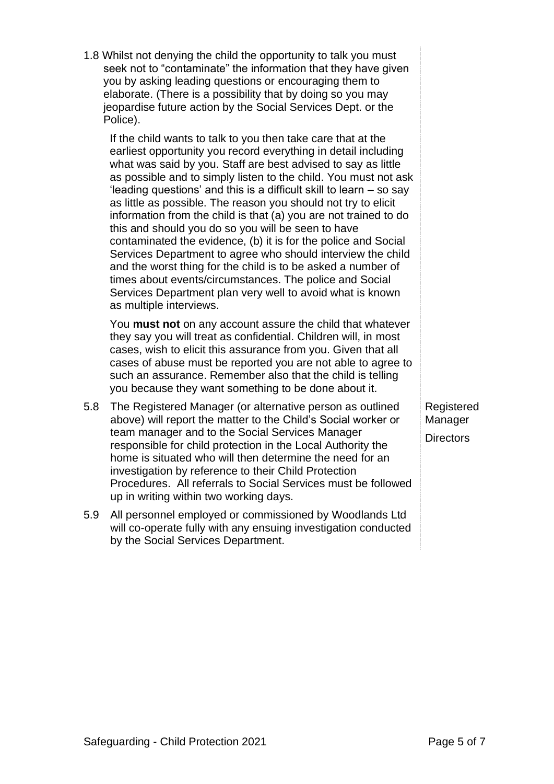|     | Services Department to agree who should interview the child<br>and the worst thing for the child is to be asked a number of<br>times about events/circumstances. The police and Social<br>Services Department plan very well to avoid what is known<br>as multiple interviews.                                                                                                                                                                                              |
|-----|-----------------------------------------------------------------------------------------------------------------------------------------------------------------------------------------------------------------------------------------------------------------------------------------------------------------------------------------------------------------------------------------------------------------------------------------------------------------------------|
|     | You must not on any account assure the child that whatever<br>they say you will treat as confidential. Children will, in most<br>cases, wish to elicit this assurance from you. Given that all<br>cases of abuse must be reported you are not able to agree to<br>such an assurance. Remember also that the child is telling<br>you because they want something to be done about it.                                                                                        |
| 5.8 | The Registered Manager (or alternative person as outlined<br>above) will report the matter to the Child's Social worker or<br>team manager and to the Social Services Manager<br>responsible for child protection in the Local Authority the<br>home is situated who will then determine the need for an<br>investigation by reference to their Child Protection<br>Procedures. All referrals to Social Services must be followed<br>up in writing within two working days. |
| 5.9 | All personnel employed or commissioned by Woodlands Ltd<br>will co-operate fully with any ensuing investigation conducted<br>by the Social Services Department.                                                                                                                                                                                                                                                                                                             |
|     |                                                                                                                                                                                                                                                                                                                                                                                                                                                                             |
|     |                                                                                                                                                                                                                                                                                                                                                                                                                                                                             |

1.8 Whilst not denying the child the opportunity to talk you must

you by asking leading questions or encouraging them to elaborate. (There is a possibility that by doing so you may jeopardise future action by the Social Services Dept. or the

If the child wants to talk to you then take care that at the earliest opportunity you record everything in detail including what was said by you. Staff are best advised to say as little as possible and to simply listen to the child. You must not ask 'leading questions' and this is a difficult skill to learn – so say as little as possible. The reason you should not try to elicit information from the child is that (a) you are not trained to do

this and should you do so you will be seen to have

contaminated the evidence, (b) it is for the police and Social

Police).

seek not to "contaminate" the information that they have given

Registered Manager **Directors**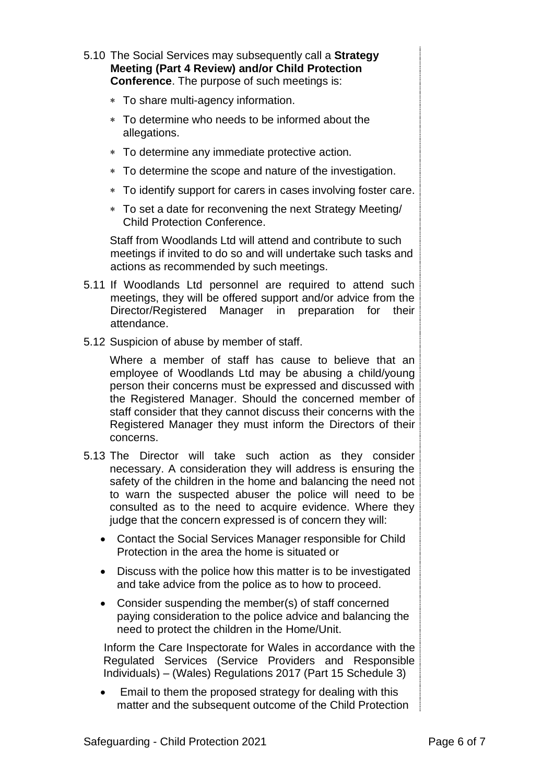- 5.10 The Social Services may subsequently call a **Strategy Meeting (Part 4 Review) and/or Child Protection Conference**. The purpose of such meetings is:
	- To share multi-agency information.
	- To determine who needs to be informed about the allegations.
	- To determine any immediate protective action.
	- To determine the scope and nature of the investigation.
	- To identify support for carers in cases involving foster care.
	- To set a date for reconvening the next Strategy Meeting/ Child Protection Conference.

Staff from Woodlands Ltd will attend and contribute to such meetings if invited to do so and will undertake such tasks and actions as recommended by such meetings.

- 5.11 If Woodlands Ltd personnel are required to attend such meetings, they will be offered support and/or advice from the Director/Registered Manager in preparation for their attendance.
- 5.12 Suspicion of abuse by member of staff.

Where a member of staff has cause to believe that an employee of Woodlands Ltd may be abusing a child/young person their concerns must be expressed and discussed with the Registered Manager. Should the concerned member of staff consider that they cannot discuss their concerns with the Registered Manager they must inform the Directors of their concerns.

- 5.13 The Director will take such action as they consider necessary. A consideration they will address is ensuring the safety of the children in the home and balancing the need not to warn the suspected abuser the police will need to be consulted as to the need to acquire evidence. Where they judge that the concern expressed is of concern they will:
	- Contact the Social Services Manager responsible for Child Protection in the area the home is situated or
	- Discuss with the police how this matter is to be investigated and take advice from the police as to how to proceed.
	- Consider suspending the member(s) of staff concerned paying consideration to the police advice and balancing the need to protect the children in the Home/Unit.

Inform the Care Inspectorate for Wales in accordance with the Regulated Services (Service Providers and Responsible Individuals) – (Wales) Regulations 2017 (Part 15 Schedule 3)

• Email to them the proposed strategy for dealing with this matter and the subsequent outcome of the Child Protection